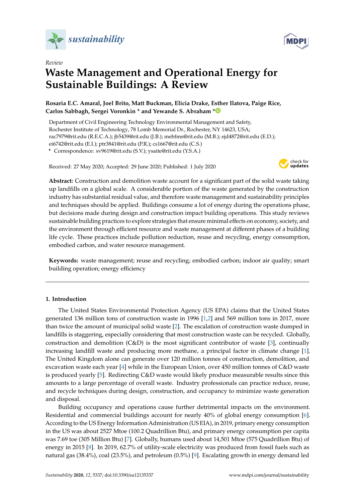



# **Waste Management and Operational Energy for Sustainable Buildings: A Review**

**Rosaria E.C. Amaral, Joel Brito, Matt Buckman, Elicia Drake, Esther Ilatova, Paige Rice, Carlos Sabbagh, Sergei Voronkin \* and Yewande S. Abraham [\\*](https://orcid.org/0000-0003-1517-1980)**

Department of Civil Engineering Technology Environmental Management and Safety, Rochester Institute of Technology, 78 Lomb Memorial Dr., Rochester, NY 14623, USA; rac7979@rit.edu (R.E.C.A.); jb5439@rit.edu (J.B.); mebfms@rit.edu (M.B.); ejd4872@rit.edu (E.D.); ei6742@rit.edu (E.I.); ptr3841@rit.edu (P.R.); cs1667@rit.edu (C.S.) **\*** Correspondence: sv9619@rit.edu (S.V.); ysaite@rit.edu (Y.S.A.)

Received: 27 May 2020; Accepted: 29 June 2020; Published: 1 July 2020



**Abstract:** Construction and demolition waste account for a significant part of the solid waste taking up landfills on a global scale. A considerable portion of the waste generated by the construction industry has substantial residual value, and therefore waste management and sustainability principles and techniques should be applied. Buildings consume a lot of energy during the operations phase, but decisions made during design and construction impact building operations. This study reviews sustainable building practices to explore strategies that ensure minimal effects on economy, society, and the environment through efficient resource and waste management at different phases of a building life cycle. These practices include pollution reduction, reuse and recycling, energy consumption, embodied carbon, and water resource management.

**Keywords:** waste management; reuse and recycling; embodied carbon; indoor air quality; smart building operation; energy efficiency

# **1. Introduction**

The United States Environmental Protection Agency (US EPA) claims that the United States generated 136 million tons of construction waste in 1996 [\[1](#page-15-0)[,2\]](#page-15-1) and 569 million tons in 2017, more than twice the amount of municipal solid waste [\[2\]](#page-15-1). The escalation of construction waste dumped in landfills is staggering, especially considering that most construction waste can be recycled. Globally, construction and demolition (C&D) is the most significant contributor of waste [\[3\]](#page-15-2), continually increasing landfill waste and producing more methane, a principal factor in climate change [\[1\]](#page-15-0). The United Kingdom alone can generate over 120 million tonnes of construction, demolition, and excavation waste each year [\[4\]](#page-15-3) while in the European Union, over 450 million tonnes of C&D waste is produced yearly [\[5\]](#page-15-4). Redirecting C&D waste would likely produce measurable results since this amounts to a large percentage of overall waste. Industry professionals can practice reduce, reuse, and recycle techniques during design, construction, and occupancy to minimize waste generation and disposal.

Building occupancy and operations cause further detrimental impacts on the environment. Residential and commercial buildings account for nearly 40% of global energy consumption [\[6\]](#page-15-5). According to the US Energy Information Administration (US EIA), in 2019, primary energy consumption in the US was about 2527 Mtoe (100.2 Quadrillion Btu), and primary energy consumption per capita was 7.69 toe (305 Million Btu) [\[7\]](#page-15-6). Globally, humans used about 14,501 Mtoe (575 Quadrillion Btu) of energy in 2015 [\[8\]](#page-15-7). In 2019, 62.7% of utility-scale electricity was produced from fossil fuels such as natural gas (38.4%), coal (23.5%), and petroleum (0.5%) [\[9\]](#page-16-0). Escalating growth in energy demand led

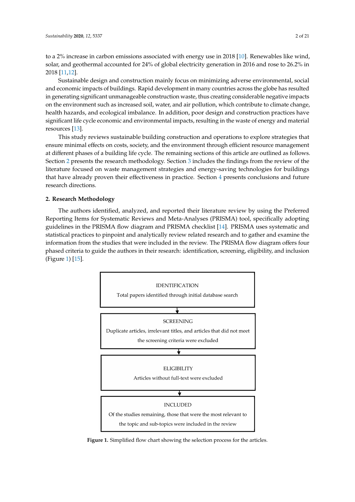to a 2% increase in carbon emissions associated with energy use in 2018 [\[10\]](#page-16-1). Renewables like wind, solar, and geothermal accounted for 24% of global electricity generation in 2016 and rose to 26.2% in 2018 [\[11,](#page-16-2)[12\]](#page-16-3).

Sustainable design and construction mainly focus on minimizing adverse environmental, social and economic impacts of buildings. Rapid development in many countries across the globe has resulted in generating significant unmanageable construction waste, thus creating considerable negative impacts on the environment such as increased soil, water, and air pollution, which contribute to climate change, health hazards, and ecological imbalance. In addition, poor design and construction practices have significant life cycle economic and environmental impacts, resulting in the waste of energy and material resources [\[13\]](#page-16-4).

This study reviews sustainable building construction and operations to explore strategies that ensure minimal effects on costs, society, and the environment through efficient resource management at different phases of a building life cycle. The remaining sections of this article are outlined as follows. Section [2](#page-1-0) presents the research methodology. Section [3](#page-2-0) includes the findings from the review of the literature focused on waste management strategies and energy-saving technologies for buildings that have already proven their effectiveness in practice. Section [4](#page-14-0) presents conclusions and future research directions.

# <span id="page-1-0"></span>**2. Research Methodology**

The authors identified, analyzed, and reported their literature review by using the Preferred Reporting Items for Systematic Reviews and Meta-Analyses (PRISMA) tool, specifically adopting guidelines in the PRISMA flow diagram and PRISMA checklist [\[14\]](#page-16-5). PRISMA uses systematic and statistical practices to pinpoint and analytically review related research and to gather and examine the information from the studies that were included in the review. The PRISMA flow diagram offers four phased criteria to guide the authors in their research: identification, screening, eligibility, and inclusion (Figure [1\)](#page-1-1) [\[15\]](#page-16-6).

<span id="page-1-1"></span>

**Figure 1.** Simplified flow chart showing the selection process for the articles.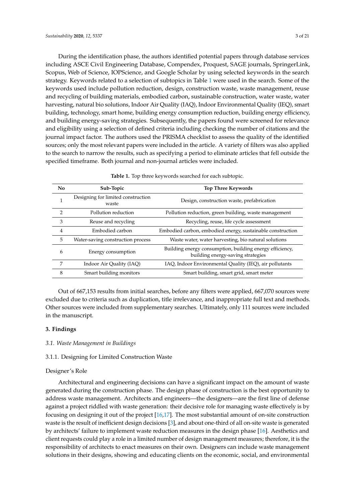During the identification phase, the authors identified potential papers through database services including ASCE Civil Engineering Database, Compendex, Proquest, SAGE journals, SpringerLink, Scopus, Web of Science, IOPScience, and Google Scholar by using selected keywords in the search strategy. Keywords related to a selection of subtopics in Table [1](#page-2-1) were used in the search. Some of the keywords used include pollution reduction, design, construction waste, waste management, reuse and recycling of building materials, embodied carbon, sustainable construction, water waste, water harvesting, natural bio solutions, Indoor Air Quality (IAQ), Indoor Environmental Quality (IEQ), smart building, technology, smart home, building energy consumption reduction, building energy efficiency, and building energy-saving strategies. Subsequently, the papers found were screened for relevance and eligibility using a selection of defined criteria including checking the number of citations and the journal impact factor. The authors used the PRISMA checklist to assess the quality of the identified sources; only the most relevant papers were included in the article. A variety of filters was also applied to the search to narrow the results, such as specifying a period to eliminate articles that fell outside the specified timeframe. Both journal and non-journal articles were included.

<span id="page-2-1"></span>

| N <sub>0</sub> | Sub-Topic                                   | <b>Top Three Keywords</b>                                                                     |
|----------------|---------------------------------------------|-----------------------------------------------------------------------------------------------|
| 1              | Designing for limited construction<br>waste | Design, construction waste, prefabrication                                                    |
| $\overline{2}$ | Pollution reduction                         | Pollution reduction, green building, waste management                                         |
| 3              | Reuse and recycling                         | Recycling, reuse, life cycle assessment                                                       |
| $\overline{4}$ | Embodied carbon                             | Embodied carbon, embodied energy, sustainable construction                                    |
| 5              | Water-saving construction process           | Waste water, water harvesting, bio natural solutions                                          |
| 6              | Energy consumption                          | Building energy consumption, building energy efficiency,<br>building energy-saving strategies |
| 7              | Indoor Air Quality (IAQ)                    | IAQ, Indoor Environmental Quality (IEQ), air pollutants                                       |
| 8              | Smart building monitors                     | Smart building, smart grid, smart meter                                                       |

**Table 1.** Top three keywords searched for each subtopic.

Out of 667,153 results from initial searches, before any filters were applied, 667,070 sources were excluded due to criteria such as duplication, title irrelevance, and inappropriate full text and methods. Other sources were included from supplementary searches. Ultimately, only 111 sources were included in the manuscript.

# <span id="page-2-0"></span>**3. Findings**

## *3.1. Waste Management in Buildings*

## 3.1.1. Designing for Limited Construction Waste

## Designer's Role

Architectural and engineering decisions can have a significant impact on the amount of waste generated during the construction phase. The design phase of construction is the best opportunity to address waste management. Architects and engineers—the designers—are the first line of defense against a project riddled with waste generation: their decisive role for managing waste effectively is by focusing on designing it out of the project [\[16](#page-16-7)[,17\]](#page-16-8). The most substantial amount of on-site construction waste is the result of inefficient design decisions [\[3\]](#page-15-2), and about one-third of all on-site waste is generated by architects' failure to implement waste reduction measures in the design phase [\[16\]](#page-16-7). Aesthetics and client requests could play a role in a limited number of design management measures; therefore, it is the responsibility of architects to enact measures on their own. Designers can include waste management solutions in their designs, showing and educating clients on the economic, social, and environmental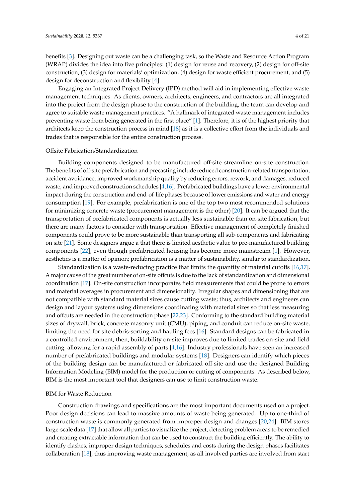benefits [\[3\]](#page-15-2). Designing out waste can be a challenging task, so the Waste and Resource Action Program (WRAP) divides the idea into five principles: (1) design for reuse and recovery, (2) design for off-site construction, (3) design for materials' optimization, (4) design for waste efficient procurement, and (5) design for deconstruction and flexibility [\[4\]](#page-15-3).

Engaging an Integrated Project Delivery (IPD) method will aid in implementing effective waste management techniques. As clients, owners, architects, engineers, and contractors are all integrated into the project from the design phase to the construction of the building, the team can develop and agree to suitable waste management practices. "A hallmark of integrated waste management includes preventing waste from being generated in the first place" [\[1\]](#page-15-0). Therefore, it is of the highest priority that architects keep the construction process in mind [\[18\]](#page-16-9) as it is a collective effort from the individuals and trades that is responsible for the entire construction process.

#### Offsite Fabrication/Standardization

Building components designed to be manufactured off-site streamline on-site construction. The benefits of off-site prefabrication and precasting include reduced construction-related transportation, accident avoidance, improved workmanship quality by reducing errors, rework, and damages, reduced waste, and improved construction schedules [\[4](#page-15-3)[,16\]](#page-16-7). Prefabricated buildings have a lower environmental impact during the construction and end-of-life phases because of lower emissions and water and energy consumption [\[19\]](#page-16-10). For example, prefabrication is one of the top two most recommended solutions for minimizing concrete waste (procurement management is the other) [\[20\]](#page-16-11). It can be argued that the transportation of prefabricated components is actually less sustainable than on-site fabrication, but there are many factors to consider with transportation. Effective management of completely finished components could prove to be more sustainable than transporting all sub-components and fabricating on site [\[21\]](#page-16-12). Some designers argue a that there is limited aesthetic value to pre-manufactured building components [\[22\]](#page-16-13), even though prefabricated housing has become more mainstream [\[1\]](#page-15-0). However, aesthetics is a matter of opinion; prefabrication is a matter of sustainability, similar to standardization.

Standardization is a waste-reducing practice that limits the quantity of material cutoffs [\[16,](#page-16-7)[17\]](#page-16-8). A major cause of the great number of on-site offcuts is due to the lack of standardization and dimensional coordination [\[17\]](#page-16-8). On-site construction incorporates field measurements that could be prone to errors and material overages in procurement and dimensionality. Irregular shapes and dimensioning that are not compatible with standard material sizes cause cutting waste; thus, architects and engineers can design and layout systems using dimensions coordinating with material sizes so that less measuring and offcuts are needed in the construction phase [\[22,](#page-16-13)[23\]](#page-16-14). Conforming to the standard building material sizes of drywall, brick, concrete masonry unit (CMU), piping, and conduit can reduce on-site waste, limiting the need for site debris-sorting and hauling fees [\[16\]](#page-16-7). Standard designs can be fabricated in a controlled environment; then, buildability on-site improves due to limited trades on-site and field cutting, allowing for a rapid assembly of parts [\[4](#page-15-3)[,16\]](#page-16-7). Industry professionals have seen an increased number of prefabricated buildings and modular systems [\[18\]](#page-16-9). Designers can identify which pieces of the building design can be manufactured or fabricated off-site and use the designed Building Information Modeling (BIM) model for the production or cutting of components. As described below, BIM is the most important tool that designers can use to limit construction waste.

## BIM for Waste Reduction

Construction drawings and specifications are the most important documents used on a project. Poor design decisions can lead to massive amounts of waste being generated. Up to one-third of construction waste is commonly generated from improper design and changes [\[20,](#page-16-11)[24\]](#page-16-15). BIM stores large-scale data [\[17\]](#page-16-8) that allow all parties to visualize the project, detecting problem areas to be remedied and creating extractable information that can be used to construct the building efficiently. The ability to identify clashes, improper design techniques, schedules and costs during the design phases facilitates collaboration [\[18\]](#page-16-9), thus improving waste management, as all involved parties are involved from start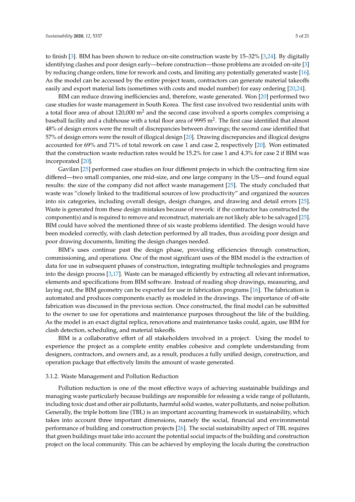to finish [\[3\]](#page-15-2). BIM has been shown to reduce on-site construction waste by 15–32% [\[3,](#page-15-2)[24\]](#page-16-15). By digitally identifying clashes and poor design early—before construction—those problems are avoided on-site [\[3\]](#page-15-2) by reducing change orders, time for rework and costs, and limiting any potentially generated waste [\[16\]](#page-16-7). As the model can be accessed by the entire project team, contractors can generate material takeoffs easily and export material lists (sometimes with costs and model number) for easy ordering [\[20,](#page-16-11)[24\]](#page-16-15).

BIM can reduce drawing inefficiencies and, therefore, waste generated. Won [\[20\]](#page-16-11) performed two case studies for waste management in South Korea. The first case involved two residential units with a total floor area of about  $120,000$  m<sup>2</sup> and the second case involved a sports complex comprising a baseball facility and a clubhouse with a total floor area of 9995  $\mathrm{m}^2.$  The first case identified that almost 48% of design errors were the result of discrepancies between drawings; the second case identified that 57% of design errors were the result of illogical design [\[20\]](#page-16-11). Drawing discrepancies and illogical designs accounted for 69% and 71% of total rework on case 1 and case 2, respectively [\[20\]](#page-16-11). Won estimated that the construction waste reduction rates would be 15.2% for case 1 and 4.3% for case 2 if BIM was incorporated [\[20\]](#page-16-11).

Gavilan [\[25\]](#page-16-16) performed case studies on four different projects in which the contracting firm size differed—two small companies, one mid-size, and one large company in the US—and found equal results: the size of the company did not affect waste management [\[25\]](#page-16-16). The study concluded that waste was "closely linked to the traditional sources of low productivity" and organized the sources into six categories, including overall design, design changes, and drawing and detail errors [\[25\]](#page-16-16). Waste is generated from these design mistakes because of rework: if the contractor has constructed the component(s) and is required to remove and reconstruct, materials are not likely able to be salvaged [\[25\]](#page-16-16). BIM could have solved the mentioned three of six waste problems identified. The design would have been modeled correctly, with clash detection performed by all trades, thus avoiding poor design and poor drawing documents, limiting the design changes needed.

BIM's uses continue past the design phase, providing efficiencies through construction, commissioning, and operations. One of the most significant uses of the BIM model is the extraction of data for use in subsequent phases of construction, integrating multiple technologies and programs into the design process [\[3](#page-15-2)[,17\]](#page-16-8). Waste can be managed efficiently by extracting all relevant information, elements and specifications from BIM software. Instead of reading shop drawings, measuring, and laying out, the BIM geometry can be exported for use in fabrication programs [\[16\]](#page-16-7). The fabrication is automated and produces components exactly as modeled in the drawings. The importance of off-site fabrication was discussed in the previous section. Once constructed, the final model can be submitted to the owner to use for operations and maintenance purposes throughout the life of the building. As the model is an exact digital replica, renovations and maintenance tasks could, again, use BIM for clash detection, scheduling, and material takeoffs.

BIM is a collaborative effort of all stakeholders involved in a project. Using the model to experience the project as a complete entity enables cohesive and complete understanding from designers, contractors, and owners and, as a result, produces a fully unified design, construction, and operation package that effectively limits the amount of waste generated.

## 3.1.2. Waste Management and Pollution Reduction

Pollution reduction is one of the most effective ways of achieving sustainable buildings and managing waste particularly because buildings are responsible for releasing a wide range of pollutants, including toxic dust and other air pollutants, harmful solid wastes, water pollutants, and noise pollution. Generally, the triple bottom line (TBL) is an important accounting framework in sustainability, which takes into account three important dimensions, namely the social, financial and environmental performance of building and construction projects [\[26\]](#page-16-17). The social sustainability aspect of TBL requires that green buildings must take into account the potential social impacts of the building and construction project on the local community. This can be achieved by employing the locals during the construction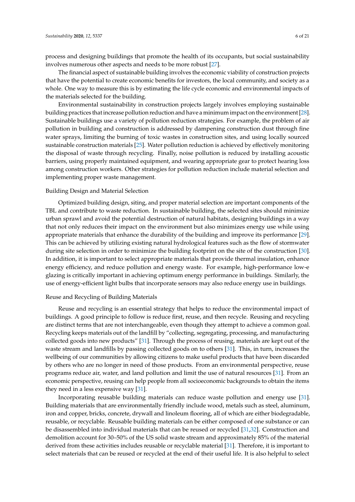process and designing buildings that promote the health of its occupants, but social sustainability involves numerous other aspects and needs to be more robust [\[27\]](#page-16-18).

The financial aspect of sustainable building involves the economic viability of construction projects that have the potential to create economic benefits for investors, the local community, and society as a whole. One way to measure this is by estimating the life cycle economic and environmental impacts of the materials selected for the building.

Environmental sustainability in construction projects largely involves employing sustainable building practices that increase pollution reduction and have a minimum impact on the environment [\[28\]](#page-16-19). Sustainable buildings use a variety of pollution reduction strategies. For example, the problem of air pollution in building and construction is addressed by dampening construction dust through fine water sprays, limiting the burning of toxic wastes in construction sites, and using locally sourced sustainable construction materials [\[25\]](#page-16-16). Water pollution reduction is achieved by effectively monitoring the disposal of waste through recycling. Finally, noise pollution is reduced by installing acoustic barriers, using properly maintained equipment, and wearing appropriate gear to protect hearing loss among construction workers. Other strategies for pollution reduction include material selection and implementing proper waste management.

### Building Design and Material Selection

Optimized building design, siting, and proper material selection are important components of the TBL and contribute to waste reduction. In sustainable building, the selected sites should minimize urban sprawl and avoid the potential destruction of natural habitats, designing buildings in a way that not only reduces their impact on the environment but also minimizes energy use while using appropriate materials that enhance the durability of the building and improve its performance [\[29\]](#page-16-20). This can be achieved by utilizing existing natural hydrological features such as the flow of stormwater during site selection in order to minimize the building footprint on the site of the construction [\[30\]](#page-16-21). In addition, it is important to select appropriate materials that provide thermal insulation, enhance energy efficiency, and reduce pollution and energy waste. For example, high-performance low-e glazing is critically important in achieving optimum energy performance in buildings. Similarly, the use of energy-efficient light bulbs that incorporate sensors may also reduce energy use in buildings.

#### Reuse and Recycling of Building Materials

Reuse and recycling is an essential strategy that helps to reduce the environmental impact of buildings. A good principle to follow is reduce first, reuse, and then recycle. Reusing and recycling are distinct terms that are not interchangeable, even though they attempt to achieve a common goal. Recycling keeps materials out of the landfill by "collecting, segregating, processing, and manufacturing collected goods into new products" [\[31\]](#page-16-22). Through the process of reusing, materials are kept out of the waste stream and landfills by passing collected goods on to others [\[31\]](#page-16-22). This, in turn, increases the wellbeing of our communities by allowing citizens to make useful products that have been discarded by others who are no longer in need of those products. From an environmental perspective, reuse programs reduce air, water, and land pollution and limit the use of natural resources [\[31\]](#page-16-22). From an economic perspective, reusing can help people from all socioeconomic backgrounds to obtain the items they need in a less expensive way [\[31\]](#page-16-22).

Incorporating reusable building materials can reduce waste pollution and energy use [\[31\]](#page-16-22). Building materials that are environmentally friendly include wood, metals such as steel, aluminum, iron and copper, bricks, concrete, drywall and linoleum flooring, all of which are either biodegradable, reusable, or recyclable. Reusable building materials can be either composed of one substance or can be disassembled into individual materials that can be reused or recycled [\[31](#page-16-22)[,32\]](#page-16-23). Construction and demolition account for 30–50% of the US solid waste stream and approximately 85% of the material derived from these activities includes reusable or recyclable material [\[31\]](#page-16-22). Therefore, it is important to select materials that can be reused or recycled at the end of their useful life. It is also helpful to select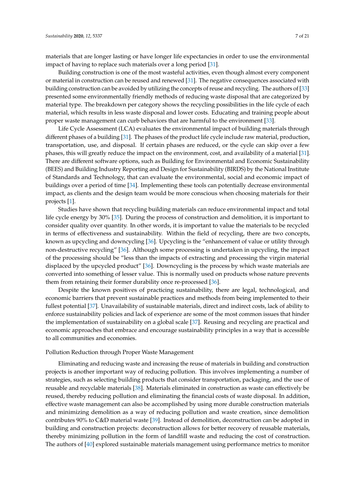materials that are longer lasting or have longer life expectancies in order to use the environmental impact of having to replace such materials over a long period [\[31\]](#page-16-22).

Building construction is one of the most wasteful activities, even though almost every component or material in construction can be reused and renewed [\[31\]](#page-16-22). The negative consequences associated with building construction can be avoided by utilizing the concepts of reuse and recycling. The authors of [\[33\]](#page-16-24) presented some environmentally friendly methods of reducing waste disposal that are categorized by material type. The breakdown per category shows the recycling possibilities in the life cycle of each material, which results in less waste disposal and lower costs. Educating and training people about proper waste management can curb behaviors that are harmful to the environment [\[33\]](#page-16-24).

Life Cycle Assessment (LCA) evaluates the environmental impact of building materials through different phases of a building [\[31\]](#page-16-22). The phases of the product life cycle include raw material, production, transportation, use, and disposal. If certain phases are reduced, or the cycle can skip over a few phases, this will greatly reduce the impact on the environment, cost, and availability of a material [\[31\]](#page-16-22). There are different software options, such as Building for Environmental and Economic Sustainability (BEES) and Building Industry Reporting and Design for Sustainability (BIRDS) by the National Institute of Standards and Technology, that can evaluate the environmental, social and economic impact of buildings over a period of time [\[34\]](#page-16-25). Implementing these tools can potentially decrease environmental impact, as clients and the design team would be more conscious when choosing materials for their projects [\[1\]](#page-15-0).

Studies have shown that recycling building materials can reduce environmental impact and total life cycle energy by 30% [\[35\]](#page-17-0). During the process of construction and demolition, it is important to consider quality over quantity. In other words, it is important to value the materials to be recycled in terms of effectiveness and sustainability. Within the field of recycling, there are two concepts, known as upcycling and downcycling [\[36\]](#page-17-1). Upcycling is the "enhancement of value or utility through non-destructive recycling" [\[36\]](#page-17-1). Although some processing is undertaken in upcycling, the impact of the processing should be "less than the impacts of extracting and processing the virgin material displaced by the upcycled product" [\[36\]](#page-17-1). Downcycling is the process by which waste materials are converted into something of lesser value. This is normally used on products whose nature prevents them from retaining their former durability once re-processed [\[36\]](#page-17-1).

Despite the known positives of practicing sustainability, there are legal, technological, and economic barriers that prevent sustainable practices and methods from being implemented to their fullest potential [\[37\]](#page-17-2). Unavailability of sustainable materials, direct and indirect costs, lack of ability to enforce sustainability policies and lack of experience are some of the most common issues that hinder the implementation of sustainability on a global scale [\[37\]](#page-17-2). Reusing and recycling are practical and economic approaches that embrace and encourage sustainability principles in a way that is accessible to all communities and economies.

#### Pollution Reduction through Proper Waste Management

Eliminating and reducing waste and increasing the reuse of materials in building and construction projects is another important way of reducing pollution. This involves implementing a number of strategies, such as selecting building products that consider transportation, packaging, and the use of reusable and recyclable materials [\[38\]](#page-17-3). Materials eliminated in construction as waste can effectively be reused, thereby reducing pollution and eliminating the financial costs of waste disposal. In addition, effective waste management can also be accomplished by using more durable construction materials and minimizing demolition as a way of reducing pollution and waste creation, since demolition contributes 90% to C&D material waste [\[39\]](#page-17-4). Instead of demolition, deconstruction can be adopted in building and construction projects: deconstruction allows for better recovery of reusable materials, thereby minimizing pollution in the form of landfill waste and reducing the cost of construction. The authors of [\[40\]](#page-17-5) explored sustainable materials management using performance metrics to monitor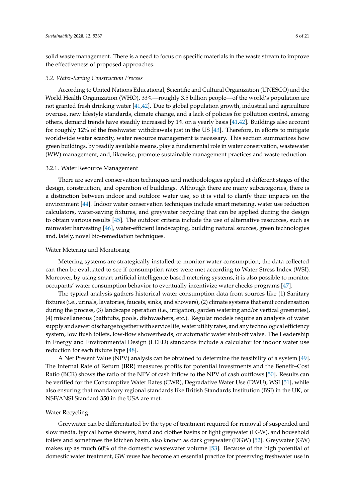solid waste management. There is a need to focus on specific materials in the waste stream to improve the effectiveness of proposed approaches.

#### *3.2. Water-Saving Construction Process*

According to United Nations Educational, Scientific and Cultural Organization (UNESCO) and the World Health Organization (WHO), 33%—roughly 3.5 billion people—of the world's population are not granted fresh drinking water [\[41,](#page-17-6)[42\]](#page-17-7). Due to global population growth, industrial and agriculture overuse, new lifestyle standards, climate change, and a lack of policies for pollution control, among others, demand trends have steadily increased by 1% on a yearly basis [\[41,](#page-17-6)[42\]](#page-17-7). Buildings also account for roughly 12% of the freshwater withdrawals just in the US [\[43\]](#page-17-8). Therefore, in efforts to mitigate worldwide water scarcity, water resource management is necessary. This section summarizes how green buildings, by readily available means, play a fundamental role in water conservation, wastewater (WW) management, and, likewise, promote sustainable management practices and waste reduction.

#### 3.2.1. Water Resource Management

There are several conservation techniques and methodologies applied at different stages of the design, construction, and operation of buildings. Although there are many subcategories, there is a distinction between indoor and outdoor water use, so it is vital to clarify their impacts on the environment [\[44\]](#page-17-9). Indoor water conservation techniques include smart metering, water use reduction calculators, water-saving fixtures, and greywater recycling that can be applied during the design to obtain various results [\[45\]](#page-17-10). The outdoor criteria include the use of alternative resources, such as rainwater harvesting [\[46\]](#page-17-11), water-efficient landscaping, building natural sources, green technologies and, lately, novel bio-remediation techniques.

# Water Metering and Monitoring

Metering systems are strategically installed to monitor water consumption; the data collected can then be evaluated to see if consumption rates were met according to Water Stress Index (WSI). Moreover, by using smart artificial intelligence-based metering systems, it is also possible to monitor occupants' water consumption behavior to eventually incentivize water checks programs [\[47\]](#page-17-12).

The typical analysis gathers historical water consumption data from sources like (1) Sanitary fixtures (i.e., urinals, lavatories, faucets, sinks, and showers), (2) climate systems that emit condensation during the process, (3) landscape operation (i.e., irrigation, garden watering and/or vertical greeneries), (4) miscellaneous (bathtubs, pools, dishwashers, etc.). Regular models require an analysis of water supply and sewer discharge together with service life, water utility rates, and any technological efficiency system, low flush toilets, low-flow showerheads, or automatic water shut-off valve. The Leadership in Energy and Environmental Design (LEED) standards include a calculator for indoor water use reduction for each fixture type [\[48\]](#page-17-13).

A Net Present Value (NPV) analysis can be obtained to determine the feasibility of a system [\[49\]](#page-17-14). The Internal Rate of Return (IRR) measures profits for potential investments and the Benefit–Cost Ratio (BCR) shows the ratio of the NPV of cash inflow to the NPV of cash outflows [\[50\]](#page-17-15). Results can be verified for the Consumptive Water Rates (CWR), Degradative Water Use (DWU), WSI [\[51\]](#page-17-16), while also ensuring that mandatory regional standards like British Standards Institution (BSI) in the UK, or NSF/ANSI Standard 350 in the USA are met.

#### Water Recycling

Greywater can be differentiated by the type of treatment required for removal of suspended and slow media, typical home showers, hand and clothes basins or light greywater (LGW), and household toilets and sometimes the kitchen basin, also known as dark greywater (DGW) [\[52\]](#page-17-17). Greywater (GW) makes up as much 60% of the domestic wastewater volume [\[53\]](#page-17-18). Because of the high potential of domestic water treatment, GW reuse has become an essential practice for preserving freshwater use in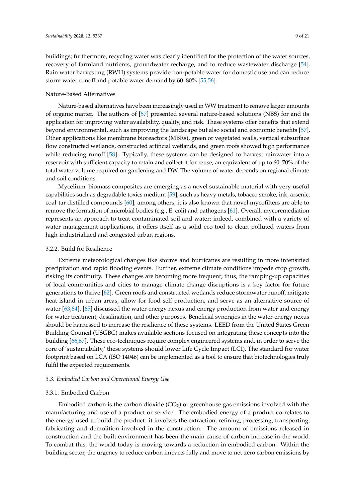buildings; furthermore, recycling water was clearly identified for the protection of the water sources, recovery of farmland nutrients, groundwater recharge, and to reduce wastewater discharge [\[54\]](#page-17-19). Rain water harvesting (RWH) systems provide non-potable water for domestic use and can reduce storm water runoff and potable water demand by 60–80% [\[55,](#page-17-20)[56\]](#page-17-21).

## Nature-Based Alternatives

Nature-based alternatives have been increasingly used in WW treatment to remove larger amounts of organic matter. The authors of [\[57\]](#page-17-22) presented several nature-based solutions (NBS) for and its application for improving water availability, quality, and risk. These systems offer benefits that extend beyond environmental, such as improving the landscape but also social and economic benefits [\[57\]](#page-17-22). Other applications like membrane bioreactors (MBRs), green or vegetated walls, vertical subsurface flow constructed wetlands, constructed artificial wetlands, and green roofs showed high performance while reducing runoff [\[58\]](#page-17-23). Typically, these systems can be designed to harvest rainwater into a reservoir with sufficient capacity to retain and collect it for reuse, an equivalent of up to 60–70% of the total water volume required on gardening and DW. The volume of water depends on regional climate and soil conditions.

Mycelium–biomass composites are emerging as a novel sustainable material with very useful capabilities such as degradable toxics medium [\[59\]](#page-18-0), such as heavy metals, tobacco smoke, ink, arsenic, coal-tar distilled compounds [\[60\]](#page-18-1), among others; it is also known that novel mycofilters are able to remove the formation of microbial bodies (e.g., E. coli) and pathogens [\[61\]](#page-18-2). Overall, mycoremediation represents an approach to treat contaminated soil and water; indeed, combined with a variety of water management applications, it offers itself as a solid eco-tool to clean polluted waters from high-industrialized and congested urban regions.

#### 3.2.2. Build for Resilience

Extreme meteorological changes like storms and hurricanes are resulting in more intensified precipitation and rapid flooding events. Further, extreme climate conditions impede crop growth, risking its continuity. These changes are becoming more frequent; thus, the ramping-up capacities of local communities and cities to manage climate change disruptions is a key factor for future generations to thrive [\[62\]](#page-18-3). Green roofs and constructed wetlands reduce stormwater runoff, mitigate heat island in urban areas, allow for food self-production, and serve as an alternative source of water [\[63,](#page-18-4)[64\]](#page-18-5). [\[65\]](#page-18-6) discussed the water-energy nexus and energy production from water and energy for water treatment, desalination, and other purposes. Beneficial synergies in the water-energy nexus should be harnessed to increase the resilience of these systems. LEED from the United States Green Building Council (USGBC) makes available sections focused on integrating these concepts into the building [\[66,](#page-18-7)[67\]](#page-18-8). These eco-techniques require complex engineered systems and, in order to serve the core of 'sustainability,' these systems should lower Life Cycle Impact (LCI). The standard for water footprint based on LCA (ISO 14046) can be implemented as a tool to ensure that biotechnologies truly fulfil the expected requirements.

## *3.3. Embodied Carbon and Operational Energy Use*

#### 3.3.1. Embodied Carbon

Embodied carbon is the carbon dioxide  $(CO<sub>2</sub>)$  or greenhouse gas emissions involved with the manufacturing and use of a product or service. The embodied energy of a product correlates to the energy used to build the product: it involves the extraction, refining, processing, transporting, fabricating and demolition involved in the construction. The amount of emissions released in construction and the built environment has been the main cause of carbon increase in the world. To combat this, the world today is moving towards a reduction in embodied carbon. Within the building sector, the urgency to reduce carbon impacts fully and move to net-zero carbon emissions by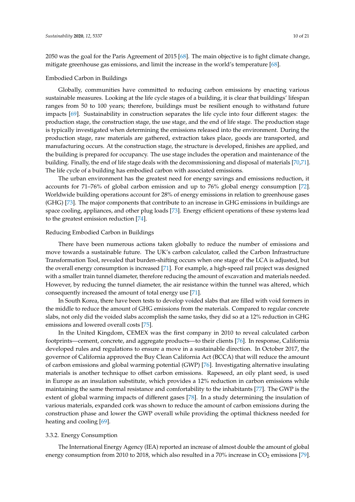2050 was the goal for the Paris Agreement of 2015 [\[68\]](#page-18-9). The main objective is to fight climate change, mitigate greenhouse gas emissions, and limit the increase in the world's temperature [\[68\]](#page-18-9).

#### Embodied Carbon in Buildings

Globally, communities have committed to reducing carbon emissions by enacting various sustainable measures. Looking at the life cycle stages of a building, it is clear that buildings' lifespan ranges from 50 to 100 years; therefore, buildings must be resilient enough to withstand future impacts [\[69\]](#page-18-10). Sustainability in construction separates the life cycle into four different stages: the production stage, the construction stage, the use stage, and the end of life stage. The production stage is typically investigated when determining the emissions released into the environment. During the production stage, raw materials are gathered, extraction takes place, goods are transported, and manufacturing occurs. At the construction stage, the structure is developed, finishes are applied, and the building is prepared for occupancy. The use stage includes the operation and maintenance of the building. Finally, the end of life stage deals with the decommissioning and disposal of materials [\[70](#page-18-11)[,71\]](#page-18-12). The life cycle of a building has embodied carbon with associated emissions.

The urban environment has the greatest need for energy savings and emissions reduction, it accounts for 71–76% of global carbon emission and up to 76% global energy consumption [\[72\]](#page-18-13). Worldwide building operations account for 28% of energy emissions in relation to greenhouse gases (GHG) [\[73\]](#page-18-14). The major components that contribute to an increase in GHG emissions in buildings are space cooling, appliances, and other plug loads [\[73\]](#page-18-14). Energy efficient operations of these systems lead to the greatest emission reduction [\[74\]](#page-18-15).

## Reducing Embodied Carbon in Buildings

There have been numerous actions taken globally to reduce the number of emissions and move towards a sustainable future. The UK's carbon calculator, called the Carbon Infrastructure Transformation Tool, revealed that burden-shifting occurs when one stage of the LCA is adjusted, but the overall energy consumption is increased [\[71\]](#page-18-12). For example, a high-speed rail project was designed with a smaller train tunnel diameter, therefore reducing the amount of excavation and materials needed. However, by reducing the tunnel diameter, the air resistance within the tunnel was altered, which consequently increased the amount of total energy use [\[71\]](#page-18-12).

In South Korea, there have been tests to develop voided slabs that are filled with void formers in the middle to reduce the amount of GHG emissions from the materials. Compared to regular concrete slabs, not only did the voided slabs accomplish the same tasks, they did so at a 12% reduction in GHG emissions and lowered overall costs [\[75\]](#page-18-16).

In the United Kingdom, CEMEX was the first company in 2010 to reveal calculated carbon footprints—cement, concrete, and aggregate products—to their clients [\[76\]](#page-18-17). In response, California developed rules and regulations to ensure a move in a sustainable direction. In October 2017, the governor of California approved the Buy Clean California Act (BCCA) that will reduce the amount of carbon emissions and global warming potential (GWP) [\[76\]](#page-18-17). Investigating alternative insulating materials is another technique to offset carbon emissions. Rapeseed, an oily plant seed, is used in Europe as an insulation substitute, which provides a 12% reduction in carbon emissions while maintaining the same thermal resistance and comfortability to the inhabitants [\[77\]](#page-18-18). The GWP is the extent of global warming impacts of different gases [\[78\]](#page-18-19). In a study determining the insulation of various materials, expanded cork was shown to reduce the amount of carbon emissions during the construction phase and lower the GWP overall while providing the optimal thickness needed for heating and cooling [\[69\]](#page-18-10).

#### 3.3.2. Energy Consumption

The International Energy Agency (IEA) reported an increase of almost double the amount of global energy consumption from 2010 to 2018, which also resulted in a 70% increase in  $CO<sub>2</sub>$  emissions [\[79\]](#page-18-20).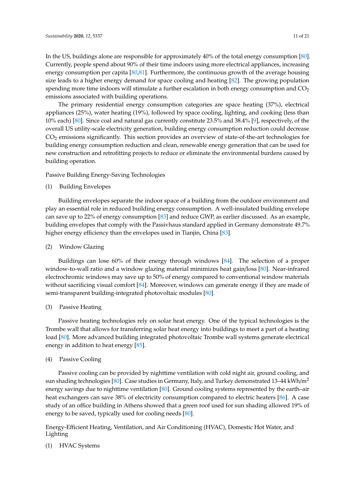In the US, buildings alone are responsible for approximately 40% of the total energy consumption [\[80\]](#page-18-21). Currently, people spend about 90% of their time indoors using more electrical appliances, increasing energy consumption per capita [\[80,](#page-18-21)[81\]](#page-18-22). Furthermore, the continuous growth of the average housing size leads to a higher energy demand for space cooling and heating [\[82\]](#page-19-0). The growing population spending more time indoors will stimulate a further escalation in both energy consumption and  $CO<sub>2</sub>$ emissions associated with building operations.

The primary residential energy consumption categories are space heating (37%), electrical appliances (25%), water heating (19%), followed by space cooling, lighting, and cooking (less than 10% each) [\[80\]](#page-18-21). Since coal and natural gas currently constitute 23.5% and 38.4% [\[9\]](#page-16-0), respectively, of the overall US utility-scale electricity generation, building energy consumption reduction could decrease CO<sup>2</sup> emissions significantly. This section provides an overview of state-of-the-art technologies for building energy consumption reduction and clean, renewable energy generation that can be used for new construction and retrofitting projects to reduce or eliminate the environmental burdens caused by building operation.

Passive Building Energy-Saving Technologies

(1) Building Envelopes

Building envelopes separate the indoor space of a building from the outdoor environment and play an essential role in reduced building energy consumption. A well-insulated building envelope can save up to 22% of energy consumption [\[83\]](#page-19-1) and reduce GWP, as earlier discussed. As an example, building envelopes that comply with the Passivhaus standard applied in Germany demonstrate 49.7% higher energy efficiency than the envelopes used in Tianjin, China [\[83\]](#page-19-1).

(2) Window Glazing

Buildings can lose 60% of their energy through windows [\[84\]](#page-19-2). The selection of a proper window-to-wall ratio and a window glazing material minimizes heat gain/loss [\[80\]](#page-18-21). Near-infrared electrochromic windows may save up to 50% of energy compared to conventional window materials without sacrificing visual comfort [\[84\]](#page-19-2). Moreover, windows can generate energy if they are made of semi-transparent building-integrated photovoltaic modules [\[80\]](#page-18-21).

(3) Passive Heating

Passive heating technologies rely on solar heat energy. One of the typical technologies is the Trombe wall that allows for transferring solar heat energy into buildings to meet a part of a heating load [\[80\]](#page-18-21). More advanced building integrated photovoltaic Trombe wall systems generate electrical energy in addition to heat energy [\[85\]](#page-19-3).

(4) Passive Cooling

Passive cooling can be provided by nighttime ventilation with cold night air, ground cooling, and sun shading technologies [\[80\]](#page-18-21). Case studies in Germany, Italy, and Turkey demonstrated 13–44 kWh/m<sup>2</sup> energy savings due to nighttime ventilation [\[80\]](#page-18-21). Ground cooling systems represented by the earth–air heat exchangers can save 38% of electricity consumption compared to electric heaters [\[86\]](#page-19-4). A case study of an office building in Athens showed that a green roof used for sun shading allowed 19% of energy to be saved, typically used for cooling needs [\[80\]](#page-18-21).

Energy-Efficient Heating, Ventilation, and Air Conditioning (HVAC), Domestic Hot Water, and Lighting

(1) HVAC Systems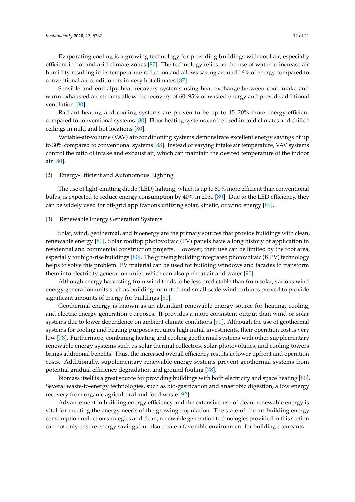Evaporating cooling is a growing technology for providing buildings with cool air, especially efficient in hot and arid climate zones [\[87\]](#page-19-5). The technology relies on the use of water to increase air humidity resulting in its temperature reduction and allows saving around 16% of energy compared to conventional air conditioners in very hot climates [\[87\]](#page-19-5).

Sensible and enthalpy heat recovery systems using heat exchange between cool intake and warm exhausted air streams allow the recovery of 60–95% of wasted energy and provide additional ventilation [\[80\]](#page-18-21).

Radiant heating and cooling systems are proven to be up to 15–20% more energy-efficient compared to conventional systems [\[80\]](#page-18-21). Floor heating systems can be used in cold climates and chilled ceilings in mild and hot locations [\[80\]](#page-18-21).

Variable-air-volume (VAV) air-conditioning systems demonstrate excellent energy savings of up to 30% compared to conventional systems [\[88\]](#page-19-6). Instead of varying intake air temperature, VAV systems control the ratio of intake and exhaust air, which can maintain the desired temperature of the indoor air [\[80\]](#page-18-21).

#### (2) Energy-Efficient and Autonomous Lighting

The use of light-emitting diode (LED) lighting, which is up to 80% more efficient than conventional bulbs, is expected to reduce energy consumption by 40% in 2030 [\[89\]](#page-19-7). Due to the LED efficiency, they can be widely used for off-grid applications utilizing solar, kinetic, or wind energy [\[89\]](#page-19-7).

## (3) Renewable Energy Generation Systems

Solar, wind, geothermal, and bioenergy are the primary sources that provide buildings with clean, renewable energy [\[80\]](#page-18-21). Solar rooftop photovoltaic (PV) panels have a long history of application in residential and commercial construction projects. However, their use can be limited by the roof area, especially for high-rise buildings [\[80\]](#page-18-21). The growing building integrated photovoltaic (BIPV) technology helps to solve this problem. PV material can be used for building windows and facades to transform them into electricity generation units, which can also preheat air and water [\[90\]](#page-19-8).

Although energy harvesting from wind tends to be less predictable than from solar, various wind energy generation units such as building-mounted and small-scale wind turbines proved to provide significant amounts of energy for buildings [\[80\]](#page-18-21).

Geothermal energy is known as an abundant renewable energy source for heating, cooling, and electric energy generation purposes. It provides a more consistent output than wind or solar systems due to lower dependence on ambient climate conditions [\[91\]](#page-19-9). Although the use of geothermal systems for cooling and heating purposes requires high initial investments, their operation cost is very low [\[78\]](#page-18-19). Furthermore, combining heating and cooling geothermal systems with other supplementary renewable energy systems such as solar thermal collectors, solar photovoltaics, and cooling towers brings additional benefits. Thus, the increased overall efficiency results in lower upfront and operation costs. Additionally, supplementary renewable energy systems prevent geothermal systems from potential gradual efficiency degradation and ground fouling [\[78\]](#page-18-19).

Biomass itself is a great source for providing buildings with both electricity and space heating [\[80\]](#page-18-21). Several waste-to-energy technologies, such as bio-gasification and anaerobic digestion, allow energy recovery from organic agricultural and food waste [\[92\]](#page-19-10).

Advancement in building energy efficiency and the extensive use of clean, renewable energy is vital for meeting the energy needs of the growing population. The state-of-the-art building energy consumption reduction strategies and clean, renewable generation technologies provided in this section can not only ensure energy savings but also create a favorable environment for building occupants.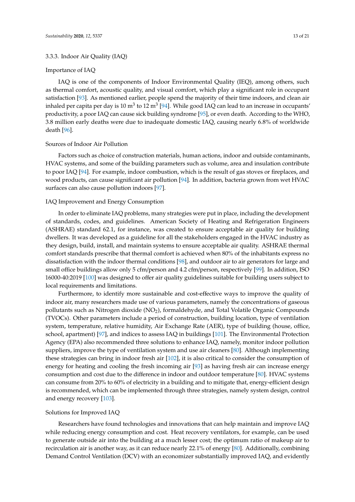#### 3.3.3. Indoor Air Quality (IAQ)

#### Importance of IAQ

IAQ is one of the components of Indoor Environmental Quality (IEQ), among others, such as thermal comfort, acoustic quality, and visual comfort, which play a significant role in occupant satisfaction [\[93\]](#page-19-11). As mentioned earlier, people spend the majority of their time indoors, and clean air inhaled per capita per day is 10 m $^3$  to 12 m $^3$  [\[94\]](#page-19-12). While good IAQ can lead to an increase in occupants' productivity, a poor IAQ can cause sick building syndrome [\[95\]](#page-19-13), or even death. According to the WHO, 3.8 million early deaths were due to inadequate domestic IAQ, causing nearly 6.8% of worldwide death [\[96\]](#page-19-14).

#### Sources of Indoor Air Pollution

Factors such as choice of construction materials, human actions, indoor and outside contaminants, HVAC systems, and some of the building parameters such as volume, area and insulation contribute to poor IAQ [\[94\]](#page-19-12). For example, indoor combustion, which is the result of gas stoves or fireplaces, and wood products, can cause significant air pollution [\[94\]](#page-19-12). In addition, bacteria grown from wet HVAC surfaces can also cause pollution indoors [\[97\]](#page-19-15).

#### IAQ Improvement and Energy Consumption

In order to eliminate IAQ problems, many strategies were put in place, including the development of standards, codes, and guidelines. American Society of Heating and Refrigeration Engineers (ASHRAE) standard 62.1, for instance, was created to ensure acceptable air quality for building dwellers. It was developed as a guideline for all the stakeholders engaged in the HVAC industry as they design, build, install, and maintain systems to ensure acceptable air quality. ASHRAE thermal comfort standards prescribe that thermal comfort is achieved when 80% of the inhabitants express no dissatisfaction with the indoor thermal conditions [\[98\]](#page-19-16), and outdoor air to air generators for large and small office buildings allow only 5 cfm/person and 4.2 cfm/person, respectively [\[99\]](#page-19-17). In addition, ISO 16000-40:2019 [\[100\]](#page-19-18) was designed to offer air quality guidelines suitable for building users subject to local requirements and limitations.

Furthermore, to identify more sustainable and cost-effective ways to improve the quality of indoor air, many researchers made use of various parameters, namely the concentrations of gaseous pollutants such as Nitrogen dioxide (NO2), formaldehyde, and Total Volatile Organic Compounds (TVOCs). Other parameters include a period of construction, building location, type of ventilation system, temperature, relative humidity, Air Exchange Rate (AER), type of building (house, office, school, apartment) [\[97\]](#page-19-15), and indices to assess IAQ in buildings [\[101\]](#page-19-19). The Environmental Protection Agency (EPA) also recommended three solutions to enhance IAQ, namely, monitor indoor pollution suppliers, improve the type of ventilation system and use air cleaners [\[80\]](#page-18-21). Although implementing these strategies can bring in indoor fresh air [\[102\]](#page-19-20), it is also critical to consider the consumption of energy for heating and cooling the fresh incoming air [\[93\]](#page-19-11) as having fresh air can increase energy consumption and cost due to the difference in indoor and outdoor temperature [\[80\]](#page-18-21). HVAC systems can consume from 20% to 60% of electricity in a building and to mitigate that, energy-efficient design is recommended, which can be implemented through three strategies, namely system design, control and energy recovery [\[103\]](#page-19-21).

#### Solutions for Improved IAQ

Researchers have found technologies and innovations that can help maintain and improve IAQ while reducing energy consumption and cost. Heat recovery ventilators, for example, can be used to generate outside air into the building at a much lesser cost; the optimum ratio of makeup air to recirculation air is another way, as it can reduce nearly 22.1% of energy [\[80\]](#page-18-21). Additionally, combining Demand Control Ventilation (DCV) with an economizer substantially improved IAQ, and evidently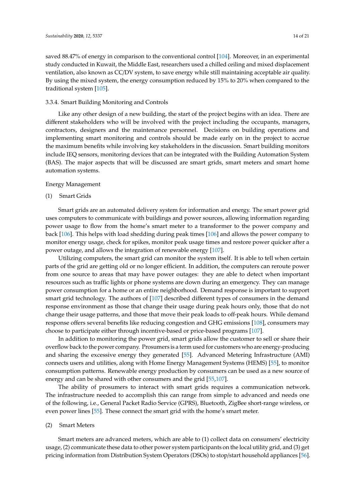saved 88.47% of energy in comparison to the conventional control [\[104\]](#page-19-22). Moreover, in an experimental study conducted in Kuwait, the Middle East, researchers used a chilled ceiling and mixed displacement ventilation, also known as CC/DV system, to save energy while still maintaining acceptable air quality. By using the mixed system, the energy consumption reduced by 15% to 20% when compared to the traditional system [\[105\]](#page-19-23).

# 3.3.4. Smart Building Monitoring and Controls

Like any other design of a new building, the start of the project begins with an idea. There are different stakeholders who will be involved with the project including the occupants, managers, contractors, designers and the maintenance personnel. Decisions on building operations and implementing smart monitoring and controls should be made early on in the project to accrue the maximum benefits while involving key stakeholders in the discussion. Smart building monitors include IEQ sensors, monitoring devices that can be integrated with the Building Automation System (BAS). The major aspects that will be discussed are smart grids, smart meters and smart home automation systems.

#### Energy Management

### (1) Smart Grids

Smart grids are an automated delivery system for information and energy. The smart power grid uses computers to communicate with buildings and power sources, allowing information regarding power usage to flow from the home's smart meter to a transformer to the power company and back [\[106\]](#page-20-0). This helps with load shedding during peak times [\[106\]](#page-20-0) and allows the power company to monitor energy usage, check for spikes, monitor peak usage times and restore power quicker after a power outage, and allows the integration of renewable energy [\[107\]](#page-20-1).

Utilizing computers, the smart grid can monitor the system itself. It is able to tell when certain parts of the grid are getting old or no longer efficient. In addition, the computers can reroute power from one source to areas that may have power outages: they are able to detect when important resources such as traffic lights or phone systems are down during an emergency. They can manage power consumption for a home or an entire neighborhood. Demand response is important to support smart grid technology. The authors of [\[107\]](#page-20-1) described different types of consumers in the demand response environment as those that change their usage during peak hours only, those that do not change their usage patterns, and those that move their peak loads to off-peak hours. While demand response offers several benefits like reducing congestion and GHG emissions [\[108\]](#page-20-2), consumers may choose to participate either through incentive-based or price-based programs [\[107\]](#page-20-1).

In addition to monitoring the power grid, smart grids allow the customer to sell or share their overflow back to the power company. Prosumers is a term used for customers who are energy-producing and sharing the excessive energy they generated [\[55\]](#page-17-20). Advanced Metering Infrastructure (AMI) connects users and utilities, along with Home Energy Management Systems (HEMS) [\[55\]](#page-17-20), to monitor consumption patterns. Renewable energy production by consumers can be used as a new source of energy and can be shared with other consumers and the grid [\[55,](#page-17-20)[107\]](#page-20-1).

The ability of prosumers to interact with smart grids requires a communication network. The infrastructure needed to accomplish this can range from simple to advanced and needs one of the following, i.e., General Packet Radio Service (GPRS), Bluetooth, ZigBee short-range wireless, or even power lines [\[55\]](#page-17-20). These connect the smart grid with the home's smart meter.

#### (2) Smart Meters

Smart meters are advanced meters, which are able to (1) collect data on consumers' electricity usage, (2) communicate these data to other power system participants on the local utility grid, and (3) get pricing information from Distribution System Operators (DSOs) to stop/start household appliances [\[56\]](#page-17-21).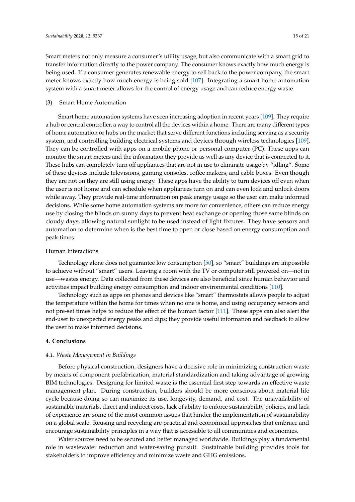Smart meters not only measure a consumer's utility usage, but also communicate with a smart grid to transfer information directly to the power company. The consumer knows exactly how much energy is being used. If a consumer generates renewable energy to sell back to the power company, the smart meter knows exactly how much energy is being sold [\[107\]](#page-20-1). Integrating a smart home automation system with a smart meter allows for the control of energy usage and can reduce energy waste.

#### (3) Smart Home Automation

Smart home automation systems have seen increasing adoption in recent years [\[109\]](#page-20-3). They require a hub or central controller, a way to control all the devices within a home. There are many different types of home automation or hubs on the market that serve different functions including serving as a security system, and controlling building electrical systems and devices through wireless technologies [\[109\]](#page-20-3). They can be controlled with apps on a mobile phone or personal computer (PC). These apps can monitor the smart meters and the information they provide as well as any device that is connected to it. These hubs can completely turn off appliances that are not in use to eliminate usage by "idling". Some of these devices include televisions, gaming consoles, coffee makers, and cable boxes. Even though they are not on they are still using energy. These apps have the ability to turn devices off even when the user is not home and can schedule when appliances turn on and can even lock and unlock doors while away. They provide real-time information on peak energy usage so the user can make informed decisions. While some home automation systems are more for convenience, others can reduce energy use by closing the blinds on sunny days to prevent heat exchange or opening those same blinds on cloudy days, allowing natural sunlight to be used instead of light fixtures. They have sensors and automation to determine when is the best time to open or close based on energy consumption and peak times.

## Human Interactions

Technology alone does not guarantee low consumption [\[50\]](#page-17-15), so "smart" buildings are impossible to achieve without "smart" users. Leaving a room with the TV or computer still powered on—not in use—wastes energy. Data collected from these devices are also beneficial since human behavior and activities impact building energy consumption and indoor environmental conditions [\[110\]](#page-20-4).

Technology such as apps on phones and devices like "smart" thermostats allows people to adjust the temperature within the home for times when no one is home, and using occupancy sensors and not pre-set times helps to reduce the effect of the human factor [\[111\]](#page-20-5). These apps can also alert the end-user to unexpected energy peaks and dips; they provide useful information and feedback to allow the user to make informed decisions.

#### <span id="page-14-0"></span>**4. Conclusions**

#### *4.1. Waste Management in Buildings*

Before physical construction, designers have a decisive role in minimizing construction waste by means of component prefabrication, material standardization and taking advantage of growing BIM technologies. Designing for limited waste is the essential first step towards an effective waste management plan. During construction, builders should be more conscious about material life cycle because doing so can maximize its use, longevity, demand, and cost. The unavailability of sustainable materials, direct and indirect costs, lack of ability to enforce sustainability policies, and lack of experience are some of the most common issues that hinder the implementation of sustainability on a global scale. Reusing and recycling are practical and economical approaches that embrace and encourage sustainability principles in a way that is accessible to all communities and economies.

Water sources need to be secured and better managed worldwide. Buildings play a fundamental role in wastewater reduction and water-saving pursuit. Sustainable building provides tools for stakeholders to improve efficiency and minimize waste and GHG emissions.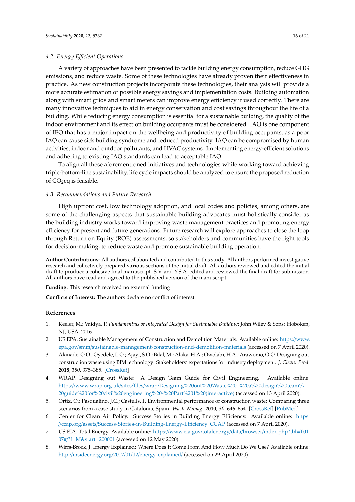## *4.2. Energy E*ffi*cient Operations*

A variety of approaches have been presented to tackle building energy consumption, reduce GHG emissions, and reduce waste. Some of these technologies have already proven their effectiveness in practice. As new construction projects incorporate these technologies, their analysis will provide a more accurate estimation of possible energy savings and implementation costs. Building automation along with smart grids and smart meters can improve energy efficiency if used correctly. There are many innovative techniques to aid in energy conservation and cost savings throughout the life of a building. While reducing energy consumption is essential for a sustainable building, the quality of the indoor environment and its effect on building occupants must be considered. IAQ is one component of IEQ that has a major impact on the wellbeing and productivity of building occupants, as a poor IAQ can cause sick building syndrome and reduced productivity. IAQ can be compromised by human activities, indoor and outdoor pollutants, and HVAC systems. Implementing energy-efficient solutions and adhering to existing IAQ standards can lead to acceptable IAQ.

To align all these aforementioned initiatives and technologies while working toward achieving triple-bottom-line sustainability, life cycle impacts should be analyzed to ensure the proposed reduction of  $CO<sub>2</sub>$ eq is feasible.

# *4.3. Recommendations and Future Research*

High upfront cost, low technology adoption, and local codes and policies, among others, are some of the challenging aspects that sustainable building advocates must holistically consider as the building industry works toward improving waste management practices and promoting energy efficiency for present and future generations. Future research will explore approaches to close the loop through Return on Equity (ROE) assessments, so stakeholders and communities have the right tools for decision-making, to reduce waste and promote sustainable building operation.

**Author Contributions:** All authors collaborated and contributed to this study. All authors performed investigative research and collectively prepared various sections of the initial draft. All authors reviewed and edited the initial draft to produce a cohesive final manuscript. S.V. and Y.S.A. edited and reviewed the final draft for submission. All authors have read and agreed to the published version of the manuscript.

**Funding:** This research received no external funding

**Conflicts of Interest:** The authors declare no conflict of interest.

## **References**

- <span id="page-15-0"></span>1. Keeler, M.; Vaidya, P. *Fundamentals of Integrated Design for Sustainable Building*; John Wiley & Sons: Hoboken, NJ, USA, 2016.
- <span id="page-15-1"></span>2. US EPA. Sustainable Management of Construction and Demolition Materials. Available online: https://[www.](https://www.epa.gov/smm/sustainable-management-construction-and-demolition-materials) epa.gov/smm/[sustainable-management-construction-and-demolition-materials](https://www.epa.gov/smm/sustainable-management-construction-and-demolition-materials) (accessed on 7 April 2020).
- <span id="page-15-2"></span>3. Akinade, O.O.; Oyedele, L.O.; Ajayi, S.O.; Bilal, M.; Alaka, H.A.; Owolabi, H.A.; Arawomo, O.O. Designing out construction waste using BIM technology: Stakeholders' expectations for industry deployment. *J. Clean. Prod.* **2018**, *180*, 375–385. [\[CrossRef\]](http://dx.doi.org/10.1016/j.jclepro.2018.01.022)
- <span id="page-15-3"></span>4. WRAP. Designing out Waste: A Design Team Guide for Civil Engineering. Available online: https://www.wrap.org.uk/sites/files/wrap/[Designing%20out%20Waste%20-%20a%20design%20team%](https://www.wrap.org.uk/sites/files/wrap/Designing%20out%20Waste%20-%20a%20design%20team%20guide%20for%20civil%20engineering%20-%20Part%201%20(interactive)) [20guide%20for%20civil%20engineering%20-%20Part%201%20\(interactive\)](https://www.wrap.org.uk/sites/files/wrap/Designing%20out%20Waste%20-%20a%20design%20team%20guide%20for%20civil%20engineering%20-%20Part%201%20(interactive)) (accessed on 13 April 2020).
- <span id="page-15-4"></span>5. Ortiz, O.; Pasqualino, J.C.; Castells, F. Environmental performance of construction waste: Comparing three scenarios from a case study in Catalonia, Spain. *Waste Manag.* **2010**, *30*, 646–654. [\[CrossRef\]](http://dx.doi.org/10.1016/j.wasman.2009.11.013) [\[PubMed\]](http://www.ncbi.nlm.nih.gov/pubmed/20005694)
- <span id="page-15-5"></span>6. Center for Clean Air Policy. Success Stories in Building Energy Efficiency. Available online: [https:](https://ccap.org/assets/Success-Stories-in-Building-Energy-Efficiency_CCAP) //ccap.org/assets/[Success-Stories-in-Building-Energy-E](https://ccap.org/assets/Success-Stories-in-Building-Energy-Efficiency_CCAP)fficiency\_CCAP (accessed on 7 April 2020).
- <span id="page-15-6"></span>7. US EIA. Total Energy. Available online: https://www.eia.gov/totalenergy/data/browser/[index.php?tbl](https://www.eia.gov/totalenergy/data/browser/index.php?tbl=T01.07#/?f=M&start=200001)=T01. 07#/?f=[M&start](https://www.eia.gov/totalenergy/data/browser/index.php?tbl=T01.07#/?f=M&start=200001)=200001 (accessed on 12 May 2020).
- <span id="page-15-7"></span>8. Wirfs-Brock, J. Energy Explained: Where Does It Come From And How Much Do We Use? Available online: http://insideenergy.org/2017/01/12/[energy-explained](http://insideenergy.org/2017/01/12/energy-explained/)/ (accessed on 29 April 2020).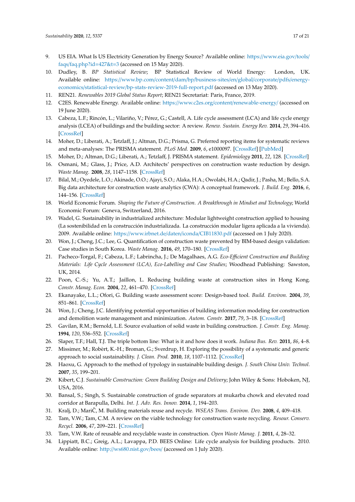- <span id="page-16-0"></span>9. US EIA. What Is US Electricity Generation by Energy Source? Available online: https://[www.eia.gov](https://www.eia.gov/tools/faqs/faq.php?id=427&t=3)/tools/ faqs/[faq.php?id](https://www.eia.gov/tools/faqs/faq.php?id=427&t=3)=427&t=3 (accessed on 15 May 2020).
- <span id="page-16-1"></span>10. Dudley, B. *BP Statistical Review*; BP Statistical Review of World Energy: London, UK. Available online: https://www.bp.com/content/dam/bp/[business-sites](https://www.bp.com/content/dam/bp/business-sites/en/global/corporate/pdfs/energy-economics/statistical-review/bp-stats-review-2019-full-report.pdf)/en/global/corporate/pdfs/energyeconomics/statistical-review/[bp-stats-review-2019-full-report.pdf](https://www.bp.com/content/dam/bp/business-sites/en/global/corporate/pdfs/energy-economics/statistical-review/bp-stats-review-2019-full-report.pdf) (accessed on 13 May 2020).
- <span id="page-16-2"></span>11. REN21. *Renewables 2019 Global Status Report*; REN21 Secretariat: Paris, France, 2019.
- <span id="page-16-3"></span>12. C2ES. Renewable Energy. Available online: https://www.c2es.org/content/[renewable-energy](https://www.c2es.org/content/renewable-energy/)/ (accessed on 19 June 2020).
- <span id="page-16-4"></span>13. Cabeza, L.F.; Rincón, L.; Vilariño, V.; Pérez, G.; Castell, A. Life cycle assessment (LCA) and life cycle energy analysis (LCEA) of buildings and the building sector: A review. *Renew. Sustain. Energy Rev.* **2014**, *29*, 394–416. [\[CrossRef\]](http://dx.doi.org/10.1016/j.rser.2013.08.037)
- <span id="page-16-5"></span>14. Moher, D.; Liberati, A.; Tetzlaff, J.; Altman, D.G.; Prisma, G. Preferred reporting items for systematic reviews and meta-analyses: The PRISMA statement. *PLoS Med.* **2009**, *6*, e1000097. [\[CrossRef\]](http://dx.doi.org/10.1371/journal.pmed.1000097) [\[PubMed\]](http://www.ncbi.nlm.nih.gov/pubmed/19621072)
- <span id="page-16-6"></span>15. Moher, D.; Altman, D.G.; Liberati, A.; Tetzlaff, J. PRISMA statement. *Epidemiology* **2011**, *22*, 128. [\[CrossRef\]](http://dx.doi.org/10.1097/EDE.0b013e3181fe7825)
- <span id="page-16-7"></span>16. Osmani, M.; Glass, J.; Price, A.D. Architects' perspectives on construction waste reduction by design. *Waste Manag.* **2008**, *28*, 1147–1158. [\[CrossRef\]](http://dx.doi.org/10.1016/j.wasman.2007.05.011)
- <span id="page-16-8"></span>17. Bilal, M.; Oyedele, L.O.; Akinade, O.O.; Ajayi, S.O.; Alaka, H.A.; Owolabi, H.A.; Qadir, J.; Pasha, M.; Bello, S.A. Big data architecture for construction waste analytics (CWA): A conceptual framework. *J. Build. Eng.* **2016**, *6*, 144–156. [\[CrossRef\]](http://dx.doi.org/10.1016/j.jobe.2016.03.002)
- <span id="page-16-9"></span>18. World Economic Forum. *Shaping the Future of Construction. A Breakthrough in Mindset and Technology*; World Economic Forum: Geneva, Switzerland, 2016.
- <span id="page-16-10"></span>19. Wadel, G. Sustainability in industrialized architecture: Modular lightweight construction applied to housing (La sostenibilidad en la construcción industrializada. La construcción modular ligera aplicada a la vivienda). 2009. Available online: https://[www.irbnet.de](https://www.irbnet.de/daten/iconda/CIB11830.pdf)/daten/iconda/CIB11830.pdf (accessed on 1 July 2020).
- <span id="page-16-11"></span>20. Won, J.; Cheng, J.C.; Lee, G. Quantification of construction waste prevented by BIM-based design validation: Case studies in South Korea. *Waste Manag.* **2016**, *49*, 170–180. [\[CrossRef\]](http://dx.doi.org/10.1016/j.wasman.2015.12.026)
- <span id="page-16-12"></span>21. Pacheco-Torgal, F.; Cabeza, L.F.; Labrincha, J.; De Magalhaes, A.G. *Eco-E*ffi*cient Construction and Building Materials: Life Cycle Assessment (LCA), Eco-Labelling and Case Studies*; Woodhead Publishing: Sawston, UK, 2014.
- <span id="page-16-13"></span>22. Poon, C.-S.; Yu, A.T.; Jaillon, L. Reducing building waste at construction sites in Hong Kong. *Constr. Manag. Econ.* **2004**, *22*, 461–470. [\[CrossRef\]](http://dx.doi.org/10.1080/0144619042000202816)
- <span id="page-16-14"></span>23. Ekanayake, L.L.; Ofori, G. Building waste assessment score: Design-based tool. *Build. Environ.* **2004**, *39*, 851–861. [\[CrossRef\]](http://dx.doi.org/10.1016/j.buildenv.2004.01.007)
- <span id="page-16-15"></span>24. Won, J.; Cheng, J.C. Identifying potential opportunities of building information modeling for construction and demolition waste management and minimization. *Autom. Constr.* **2017**, *79*, 3–18. [\[CrossRef\]](http://dx.doi.org/10.1016/j.autcon.2017.02.002)
- <span id="page-16-16"></span>25. Gavilan, R.M.; Bernold, L.E. Source evaluation of solid waste in building construction. *J. Constr. Eng. Manag.* **1994**, *120*, 536–552. [\[CrossRef\]](http://dx.doi.org/10.1061/(ASCE)0733-9364(1994)120:3(536))
- <span id="page-16-17"></span>26. Slaper, T.F.; Hall, T.J. The triple bottom line: What is it and how does it work. *Indiana Bus. Rev.* **2011**, *86*, 4–8.
- <span id="page-16-18"></span>27. Missimer, M.; Robèrt, K.-H.; Broman, G.; Sverdrup, H. Exploring the possibility of a systematic and generic approach to social sustainability. *J. Clean. Prod.* **2010**, *18*, 1107–1112. [\[CrossRef\]](http://dx.doi.org/10.1016/j.jclepro.2010.02.024)
- <span id="page-16-19"></span>28. Haoxu, G. Approach to the method of typology in sustainable building design. *J. South China Univ. Technol.* **2007**, *35*, 199–201.
- <span id="page-16-20"></span>29. Kibert, C.J. *Sustainable Construction: Green Building Design and Delivery*; John Wiley & Sons: Hoboken, NJ, USA, 2016.
- <span id="page-16-21"></span>30. Bansal, S.; Singh, S. Sustainable construction of grade separators at mukarba chowk and elevated road corridor at Barapulla, Delhi. *Int. J. Adv. Res. Innov.* **2014**, *1*, 194–203.
- <span id="page-16-22"></span>31. Kralj, D.; MariC, M. Building materials reuse and recycle. ˇ *WSEAS Trans. Environ. Dev.* **2008**, *4*, 409–418.
- <span id="page-16-23"></span>32. Tam, V.W.; Tam, C.M. A review on the viable technology for construction waste recycling. *Resour. Conserv. Recycl.* **2006**, *47*, 209–221. [\[CrossRef\]](http://dx.doi.org/10.1016/j.resconrec.2005.12.002)
- <span id="page-16-24"></span>33. Tam, V.W. Rate of reusable and recyclable waste in construction. *Open Waste Manag. J.* **2011**, *4*, 28–32.
- <span id="page-16-25"></span>34. Lippiatt, B.C.; Greig, A.L.; Lavappa, P.D. BEES Online: Life cycle analysis for building products. 2010. Available online: http://[ws680.nist.gov](http://ws680.nist.gov/bees/)/bees/ (accessed on 1 July 2020).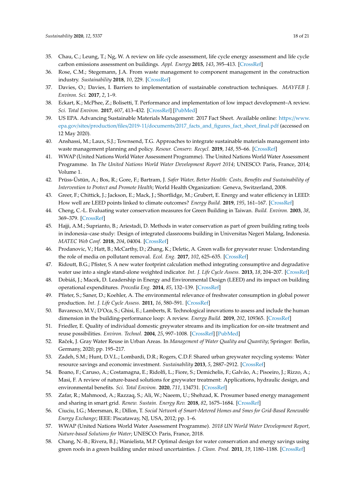- <span id="page-17-0"></span>35. Chau, C.; Leung, T.; Ng, W. A review on life cycle assessment, life cycle energy assessment and life cycle carbon emissions assessment on buildings. *Appl. Energy* **2015**, *143*, 395–413. [\[CrossRef\]](http://dx.doi.org/10.1016/j.apenergy.2015.01.023)
- <span id="page-17-1"></span>36. Rose, C.M.; Stegemann, J.A. From waste management to component management in the construction industry. *Sustainability* **2018**, *10*, 229. [\[CrossRef\]](http://dx.doi.org/10.3390/su10010229)
- <span id="page-17-2"></span>37. Davies, O.; Davies, I. Barriers to implementation of sustainable construction techniques. *MAYFEB J. Environ. Sci.* **2017**, *2*, 1–9.
- <span id="page-17-3"></span>38. Eckart, K.; McPhee, Z.; Bolisetti, T. Performance and implementation of low impact development–A review. *Sci. Total Environ.* **2017**, *607*, 413–432. [\[CrossRef\]](http://dx.doi.org/10.1016/j.scitotenv.2017.06.254) [\[PubMed\]](http://www.ncbi.nlm.nih.gov/pubmed/28704668)
- <span id="page-17-4"></span>39. US EPA. Advancing Sustainable Materials Management: 2017 Fact Sheet. Available online: https://[www.](https://www.epa.gov/sites/production/files/2019-11/documents/2017_facts_and_figures_fact_sheet_final.pdf) epa.gov/sites/production/files/2019-11/documents/[2017\\_facts\\_and\\_figures\\_fact\\_sheet\\_final.pdf](https://www.epa.gov/sites/production/files/2019-11/documents/2017_facts_and_figures_fact_sheet_final.pdf) (accessed on 12 May 2020).
- <span id="page-17-5"></span>40. Anshassi, M.; Laux, S.J.; Townsend, T.G. Approaches to integrate sustainable materials management into waste management planning and policy. *Resour. Conserv. Recycl.* **2019**, *148*, 55–66. [\[CrossRef\]](http://dx.doi.org/10.1016/j.resconrec.2019.04.011)
- <span id="page-17-6"></span>41. WWAP (United Nations World Water Assessment Programme). The United Nations World Water Assessment Programme. In *The United Nations World Water Development Report 2014*; UNESCO: Paris, France, 2014; Volume 1.
- <span id="page-17-7"></span>42. Prüss-Üstün, A.; Bos, R.; Gore, F.; Bartram, J. *Safer Water, Better Health: Costs, Benefits and Sustainability of Intervention to Protect and Promote Health*; World Health Organization: Geneva, Switzerland, 2008.
- <span id="page-17-8"></span>43. Greer, F.; Chittick, J.; Jackson, E.; Mack, J.; Shortlidge, M.; Grubert, E. Energy and water efficiency in LEED: How well are LEED points linked to climate outcomes? *Energy Build.* **2019**, *195*, 161–167. [\[CrossRef\]](http://dx.doi.org/10.1016/j.enbuild.2019.05.010)
- <span id="page-17-9"></span>44. Cheng, C.-L. Evaluating water conservation measures for Green Building in Taiwan. *Build. Environ.* **2003**, *38*, 369–379. [\[CrossRef\]](http://dx.doi.org/10.1016/S0360-1323(02)00062-8)
- <span id="page-17-10"></span>45. Hajji, A.M.; Suprianto, B.; Ariestadi, D. Methods in water conservation as part of green building rating tools in indonesia–case study: Design of integrated classrooms building in Universitas Negeri Malang, Indonesia. *MATEC Web Conf.* **2018**, *204*, 04004. [\[CrossRef\]](http://dx.doi.org/10.1051/matecconf/201820404004)
- <span id="page-17-11"></span>46. Prodanovic, V.; Hatt, B.; McCarthy, D.; Zhang, K.; Deletic, A. Green walls for greywater reuse: Understanding the role of media on pollutant removal. *Ecol. Eng.* **2017**, *102*, 625–635. [\[CrossRef\]](http://dx.doi.org/10.1016/j.ecoleng.2017.02.045)
- <span id="page-17-12"></span>47. Ridoutt, B.G.; Pfister, S. A new water footprint calculation method integrating consumptive and degradative water use into a single stand-alone weighted indicator. *Int. J. Life Cycle Assess.* **2013**, *18*, 204–207. [\[CrossRef\]](http://dx.doi.org/10.1007/s11367-012-0458-z)
- <span id="page-17-13"></span>48. Dobiáš, J.; Macek, D. Leadership in Energy and Environmental Design (LEED) and its impact on building operational expenditures. *Procedia Eng.* **2014**, *85*, 132–139. [\[CrossRef\]](http://dx.doi.org/10.1016/j.proeng.2014.10.537)
- <span id="page-17-14"></span>49. Pfister, S.; Saner, D.; Koehler, A. The environmental relevance of freshwater consumption in global power production. *Int. J. Life Cycle Assess.* **2011**, *16*, 580–591. [\[CrossRef\]](http://dx.doi.org/10.1007/s11367-011-0284-8)
- <span id="page-17-15"></span>50. Bavaresco, M.V.; D'Oca, S.; Ghisi, E.; Lamberts, R. Technological innovations to assess and include the human dimension in the building-performance loop: A review. *Energy Build.* **2019**, *202*, 109365. [\[CrossRef\]](http://dx.doi.org/10.1016/j.enbuild.2019.109365)
- <span id="page-17-16"></span>51. Friedler, E. Quality of individual domestic greywater streams and its implication for on-site treatment and reuse possibilities. *Environ. Technol.* **2004**, *25*, 997–1008. [\[CrossRef\]](http://dx.doi.org/10.1080/09593330.2004.9619393) [\[PubMed\]](http://www.ncbi.nlm.nih.gov/pubmed/15515266)
- <span id="page-17-17"></span>52. Raˇcek, J. Gray Water Reuse in Urban Areas. In *Management of Water Quality and Quantity*; Springer: Berlin, Germany, 2020; pp. 195–217.
- <span id="page-17-18"></span>53. Zadeh, S.M.; Hunt, D.V.L.; Lombardi, D.R.; Rogers, C.D.F. Shared urban greywater recycling systems: Water resource savings and economic investment. *Sustainability* **2013**, *5*, 2887–2912. [\[CrossRef\]](http://dx.doi.org/10.3390/su5072887)
- <span id="page-17-19"></span>54. Boano, F.; Caruso, A.; Costamagna, E.; Ridolfi, L.; Fiore, S.; Demichelis, F.; Galvão, A.; Pisoeiro, J.; Rizzo, A.; Masi, F. A review of nature-based solutions for greywater treatment: Applications, hydraulic design, and environmental benefits. *Sci. Total Environ.* **2020**, *711*, 134731. [\[CrossRef\]](http://dx.doi.org/10.1016/j.scitotenv.2019.134731)
- <span id="page-17-20"></span>55. Zafar, R.; Mahmood, A.; Razzaq, S.; Ali, W.; Naeem, U.; Shehzad, K. Prosumer based energy management and sharing in smart grid. *Renew. Sustain. Energy Rev.* **2018**, *82*, 1675–1684. [\[CrossRef\]](http://dx.doi.org/10.1016/j.rser.2017.07.018)
- <span id="page-17-21"></span>56. Ciuciu, I.G.; Meersman, R.; Dillon, T. *Social Network of Smart-Metered Homes and Smes for Grid-Based Renewable Energy Exchange*; IEEE: Piscataway, NJ, USA, 2012; pp. 1–6.
- <span id="page-17-22"></span>57. WWAP (United Nations World Water Assessment Programme). *2018 UN World Water Development Report, Nature-based Solutions for Water*; UNESCO: Paris, France, 2018.
- <span id="page-17-23"></span>58. Chang, N.-B.; Rivera, B.J.; Wanielista, M.P. Optimal design for water conservation and energy savings using green roofs in a green building under mixed uncertainties. *J. Clean. Prod.* **2011**, *19*, 1180–1188. [\[CrossRef\]](http://dx.doi.org/10.1016/j.jclepro.2011.02.008)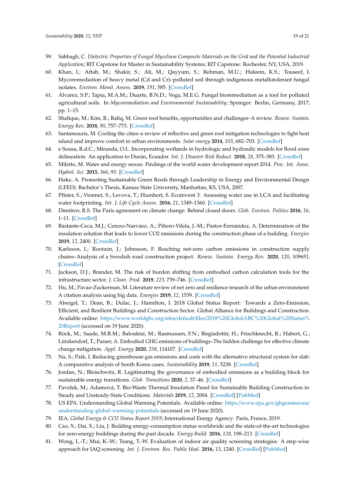- <span id="page-18-0"></span>59. Sabbagh, C. *Dielectric Properties of Fungal Mycelium Composite Materials on the Grid and the Potential Industrial Application*; RIT Capstone for Master in Sustainability Systems; RIT Capstone: Rochester, NY, USA, 2019.
- <span id="page-18-1"></span>60. Khan, I.; Aftab, M.; Shakir, S.; Ali, M.; Qayyum, S.; Rehman, M.U.; Haleem, K.S.; Touseef, I. Mycoremediation of heavy metal (Cd and Cr)–polluted soil through indigenous metallotolerant fungal isolates. *Environ. Monit. Assess.* **2019**, *191*, 585. [\[CrossRef\]](http://dx.doi.org/10.1007/s10661-019-7769-5)
- <span id="page-18-2"></span>61. Álvarez, S.P.; Tapia, M.A.M.; Duarte, B.N.D.; Vega, M.E.G. Fungal bioremediation as a tool for polluted agricultural soils. In *Mycoremediation and Environmental Sustainability*; Springer: Berlin, Germany, 2017; pp. 1–15.
- <span id="page-18-3"></span>62. Shafique, M.; Kim, R.; Rafiq, M. Green roof benefits, opportunities and challenges–A review. *Renew. Sustain. Energy Rev.* **2018**, *90*, 757–773. [\[CrossRef\]](http://dx.doi.org/10.1016/j.rser.2018.04.006)
- <span id="page-18-4"></span>63. Santamouris, M. Cooling the cities–a review of reflective and green roof mitigation technologies to fight heat island and improve comfort in urban environments. *Solar energy* **2014**, *103*, 682–703. [\[CrossRef\]](http://dx.doi.org/10.1016/j.solener.2012.07.003)
- <span id="page-18-5"></span>64. e Sousa, R.d.C.; Miranda, O.L. Incorporating wetlands in hydrologic and hydraulic models for flood zone delineation: An application to Durán, Ecuador. *Int. J. Disaster Risk Reduct.* **2018**, *28*, 375–383. [\[CrossRef\]](http://dx.doi.org/10.1016/j.ijdrr.2018.03.023)
- <span id="page-18-6"></span>65. Miletto, M. Water and energy nexus: Findings of the world water development report 2014. *Proc. Int. Assoc. Hydrol. Sci.* **2015**, *366*, 93. [\[CrossRef\]](http://dx.doi.org/10.5194/piahs-366-93-2015)
- <span id="page-18-7"></span>66. Hake, A. Promoting Sustainable Green Roofs through Leadership in Energy and Environmental Design (LEED). Bachelor's Thesis, Kansas State University, Manhattan, KS, USA, 2007.
- <span id="page-18-8"></span>67. Pfister, S.; Vionnet, S.; Levova, T.; Humbert, S. Ecoinvent 3: Assessing water use in LCA and facilitating water footprinting. *Int. J. Life Cycle Assess.* **2016**, *21*, 1349–1360. [\[CrossRef\]](http://dx.doi.org/10.1007/s11367-015-0937-0)
- <span id="page-18-9"></span>68. Dimitrov, R.S. The Paris agreement on climate change: Behind closed doors. *Glob. Environ. Politics* **2016**, *16*, 1–11. [\[CrossRef\]](http://dx.doi.org/10.1162/GLEP_a_00361)
- <span id="page-18-10"></span>69. Bastante-Ceca, M.J.; Cerezo-Narváez, A.; Piñero-Vilela, J.-M.; Pastor-Fernández, A. Determination of the insulation solution that leads to lower CO2 emissions during the construction phase of a building. *Energies* **2019**, *12*, 2400. [\[CrossRef\]](http://dx.doi.org/10.3390/en12122400)
- <span id="page-18-11"></span>70. Karlsson, I.; Rootzén, J.; Johnsson, F. Reaching net-zero carbon emissions in construction supply chains–Analysis of a Swedish road construction project. *Renew. Sustain. Energy Rev.* **2020**, *120*, 109651. [\[CrossRef\]](http://dx.doi.org/10.1016/j.rser.2019.109651)
- <span id="page-18-12"></span>71. Jackson, D.J.; Brander, M. The risk of burden shifting from embodied carbon calculation tools for the infrastructure sector. *J. Clean. Prod.* **2019**, *223*, 739–746. [\[CrossRef\]](http://dx.doi.org/10.1016/j.jclepro.2019.03.171)
- <span id="page-18-13"></span>72. Hu, M.; Pavao-Zuckerman, M. Literature review of net zero and resilience research of the urban environment: A citation analysis using big data. *Energies* **2019**, *12*, 1539. [\[CrossRef\]](http://dx.doi.org/10.3390/en12081539)
- <span id="page-18-14"></span>73. Abergel, T.; Dean, B.; Dulac, J.; Hamilton, I. 2018 Global Status Report: Towards a Zero-Emission, Efficient, and Resilient Buildings and Construction Sector. Global Alliance for Buildings and Construction. Available online: https://www.worldgbc.org/sites/default/files/[2018%20GlobalABC%20Global%20Status%](https://www.worldgbc.org/sites/default/files/2018%20GlobalABC%20Global%20Status%20Report) [20Report](https://www.worldgbc.org/sites/default/files/2018%20GlobalABC%20Global%20Status%20Report) (accessed on 19 June 2020).
- <span id="page-18-15"></span>74. Röck, M.; Saade, M.R.M.; Balouktsi, M.; Rasmussen, F.N.; Birgisdottir, H.; Frischknecht, R.; Habert, G.; Lützkendorf, T.; Passer, A. Embodied GHG emissions of buildings–The hidden challenge for effective climate change mitigation. *Appl. Energy* **2020**, *258*, 114107. [\[CrossRef\]](http://dx.doi.org/10.1016/j.apenergy.2019.114107)
- <span id="page-18-16"></span>75. Na, S.; Paik, I. Reducing greenhouse gas emissions and costs with the alternative structural system for slab: A comparative analysis of South Korea cases. *Sustainability* **2019**, *11*, 5238. [\[CrossRef\]](http://dx.doi.org/10.3390/su11195238)
- <span id="page-18-17"></span>76. Jordan, N.; Bleischwitz, R. Legitimating the governance of embodied emissions as a building block for sustainable energy transitions. *Glob. Transitions* **2020**, *2*, 37–46. [\[CrossRef\]](http://dx.doi.org/10.1016/j.glt.2020.01.002)
- <span id="page-18-18"></span>77. Pavelek, M.; Adamová, T. Bio-Waste Thermal Insulation Panel for Sustainable Building Construction in Steady and Unsteady-State Conditions. *Materials* **2019**, *12*, 2004. [\[CrossRef\]](http://dx.doi.org/10.3390/ma12122004) [\[PubMed\]](http://www.ncbi.nlm.nih.gov/pubmed/31234543)
- <span id="page-18-19"></span>78. US EPA. Understanding Global Warming Potentials. Available online: https://[www.epa.gov](https://www.epa.gov/ghgemissions/understanding-global-warming-potentials)/ghgemissions/ [understanding-global-warming-potentials](https://www.epa.gov/ghgemissions/understanding-global-warming-potentials) (accessed on 19 June 2020).
- <span id="page-18-20"></span>79. IEA. *Global Energy & CO2 Status Report 2019*; International Energy Agency: Paris, France, 2019.
- <span id="page-18-21"></span>80. Cao, X.; Dai, X.; Liu, J. Building energy-consumption status worldwide and the state-of-the-art technologies for zero-energy buildings during the past decade. *Energy Build.* **2016**, *128*, 198–213. [\[CrossRef\]](http://dx.doi.org/10.1016/j.enbuild.2016.06.089)
- <span id="page-18-22"></span>81. Wong, L.-T.; Mui, K.-W.; Tsang, T.-W. Evaluation of indoor air quality screening strategies: A step-wise approach for IAQ screening. *Int. J. Environ. Res. Public Heal.* **2016**, *13*, 1240. [\[CrossRef\]](http://dx.doi.org/10.3390/ijerph13121240) [\[PubMed\]](http://www.ncbi.nlm.nih.gov/pubmed/27983667)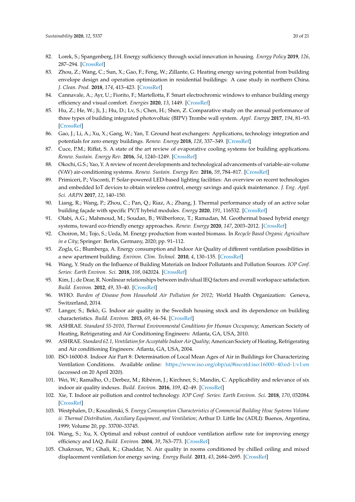- <span id="page-19-0"></span>82. Lorek, S.; Spangenberg, J.H. Energy sufficiency through social innovation in housing. *Energy Policy* **2019**, *126*, 287–294. [\[CrossRef\]](http://dx.doi.org/10.1016/j.enpol.2018.11.026)
- <span id="page-19-1"></span>83. Zhou, Z.; Wang, C.; Sun, X.; Gao, F.; Feng, W.; Zillante, G. Heating energy saving potential from building envelope design and operation optimization in residential buildings: A case study in northern China. *J. Clean. Prod.* **2018**, *174*, 413–423. [\[CrossRef\]](http://dx.doi.org/10.1016/j.jclepro.2017.10.237)
- <span id="page-19-2"></span>84. Cannavale, A.; Ayr, U.; Fiorito, F.; Martellotta, F. Smart electrochromic windows to enhance building energy efficiency and visual comfort. *Energies* **2020**, *13*, 1449. [\[CrossRef\]](http://dx.doi.org/10.3390/en13061449)
- <span id="page-19-3"></span>85. Hu, Z.; He, W.; Ji, J.; Hu, D.; Lv, S.; Chen, H.; Shen, Z. Comparative study on the annual performance of three types of building integrated photovoltaic (BIPV) Trombe wall system. *Appl. Energy* **2017**, *194*, 81–93. [\[CrossRef\]](http://dx.doi.org/10.1016/j.apenergy.2017.02.018)
- <span id="page-19-4"></span>86. Gao, J.; Li, A.; Xu, X.; Gang, W.; Yan, T. Ground heat exchangers: Applications, technology integration and potentials for zero energy buildings. *Renew. Energy* **2018**, *128*, 337–349. [\[CrossRef\]](http://dx.doi.org/10.1016/j.renene.2018.05.089)
- <span id="page-19-5"></span>87. Cuce, P.M.; Riffat, S. A state of the art review of evaporative cooling systems for building applications. *Renew. Sustain. Energy Rev.* **2016**, *54*, 1240–1249. [\[CrossRef\]](http://dx.doi.org/10.1016/j.rser.2015.10.066)
- <span id="page-19-6"></span>88. Okochi, G.S.; Yao, Y. A review of recent developments and technological advancements of variable-air-volume (VAV) air-conditioning systems. *Renew. Sustain. Energy Rev.* **2016**, *59*, 784–817. [\[CrossRef\]](http://dx.doi.org/10.1016/j.rser.2015.12.328)
- <span id="page-19-7"></span>89. Primiceri, P.; Visconti, P. Solar-powered LED-based lighting facilities: An overview on recent technologies and embedded IoT devices to obtain wireless control, energy savings and quick maintenance. *J. Eng. Appl. Sci. ARPN* **2017**, *12*, 140–150.
- <span id="page-19-8"></span>90. Liang, R.; Wang, P.; Zhou, C.; Pan, Q.; Riaz, A.; Zhang, J. Thermal performance study of an active solar building façade with specific PV/T hybrid modules. *Energy* **2020**, *191*, 116532. [\[CrossRef\]](http://dx.doi.org/10.1016/j.energy.2019.116532)
- <span id="page-19-9"></span>91. Olabi, A.G.; Mahmoud, M.; Soudan, B.; Wilberforce, T.; Ramadan, M. Geothermal based hybrid energy systems, toward eco-friendly energy approaches. *Renew. Energy* **2020**, *147*, 2003–2012. [\[CrossRef\]](http://dx.doi.org/10.1016/j.renene.2019.09.140)
- <span id="page-19-10"></span>92. Choiron, M.; Tojo, S.; Ueda, M. Energy production from wasted biomass. In *Recycle Based Organic Agriculture in a City*; Springer: Berlin, Germany, 2020; pp. 91–112.
- <span id="page-19-11"></span>93. Zogla, G.; Blumberga, A. Energy consumption and Indoor Air Quality of different ventilation possibilities in a new apartment building. *Environ. Clim. Technol.* **2010**, *4*, 130–135. [\[CrossRef\]](http://dx.doi.org/10.2478/v10145-010-0028-1)
- <span id="page-19-12"></span>94. Wang, Y. Study on the Influence of Building Materials on Indoor Pollutants and Pollution Sources. *IOP Conf. Series: Earth Environ. Sci.* **2018**, *108*, 042024. [\[CrossRef\]](http://dx.doi.org/10.1088/1755-1315/108/4/042024)
- <span id="page-19-13"></span>95. Kim, J.; de Dear, R. Nonlinear relationships between individual IEQ factors and overall workspace satisfaction. *Build. Environ.* **2012**, *49*, 33–40. [\[CrossRef\]](http://dx.doi.org/10.1016/j.buildenv.2011.09.022)
- <span id="page-19-14"></span>96. WHO. *Burden of Disease from Household Air Pollution for 2012*; World Health Organization: Geneva, Switzerland, 2014.
- <span id="page-19-15"></span>97. Langer, S.; Bekö, G. Indoor air quality in the Swedish housing stock and its dependence on building characteristics. *Build. Environ.* **2013**, *69*, 44–54. [\[CrossRef\]](http://dx.doi.org/10.1016/j.buildenv.2013.07.013)
- <span id="page-19-16"></span>98. ASHRAE. *Standard 55-2010, Thermal Environmental Conditions for Human Occupancy*; American Society of Heating, Refrigerating and Air Conditioning Engineers: Atlanta, GA, USA, 2010.
- <span id="page-19-17"></span>99. ASHRAE. *Standard 62.1, Ventilation for Acceptable Indoor Air Quality*; American Society of Heating, Refrigerating and Air conditioning Engineers: Atlanta, GA, USA, 2004.
- <span id="page-19-18"></span>100. ISO-16000-8. Indoor Air Part 8: Determination of Local Mean Ages of Air in Buildings for Characterizing Ventilation Conditions. Available online: https://www.iso.org/obp/ui/[#iso:std:iso:16000:-40:ed-1:v1:en](https://www.iso.org/obp/ui/#iso:std:iso:16000:-40:ed-1:v1:en) (accessed on 20 April 2020).
- <span id="page-19-19"></span>101. Wei, W.; Ramalho, O.; Derbez, M.; Ribéron, J.; Kirchner, S.; Mandin, C. Applicability and relevance of six indoor air quality indexes. *Build. Environ.* **2016**, *109*, 42–49. [\[CrossRef\]](http://dx.doi.org/10.1016/j.buildenv.2016.09.008)
- <span id="page-19-20"></span>102. Xie, T. Indoor air pollution and control technology. *IOP Conf. Series: Earth Environ. Sci.* **2018**, *170*, 032084. [\[CrossRef\]](http://dx.doi.org/10.1088/1755-1315/170/3/032084)
- <span id="page-19-21"></span>103. Westphalen, D.; Koszalinski, S. *Energy Consumption Characteristics of Commercial Building Hvac Systems Volume ii: Thermal Distribution, Auxiliary Equipment, and Ventilation; Arthur D. Little Inc (ADLI): Buenos, Argentina,* 1999; Volume 20, pp. 33700–33745.
- <span id="page-19-22"></span>104. Wang, S.; Xu, X. Optimal and robust control of outdoor ventilation airflow rate for improving energy efficiency and IAQ. *Build. Environ.* **2004**, *39*, 763–773. [\[CrossRef\]](http://dx.doi.org/10.1016/j.buildenv.2004.01.033)
- <span id="page-19-23"></span>105. Chakroun, W.; Ghali, K.; Ghaddar, N. Air quality in rooms conditioned by chilled ceiling and mixed displacement ventilation for energy saving. *Energy Build.* **2011**, *43*, 2684–2695. [\[CrossRef\]](http://dx.doi.org/10.1016/j.enbuild.2011.06.019)